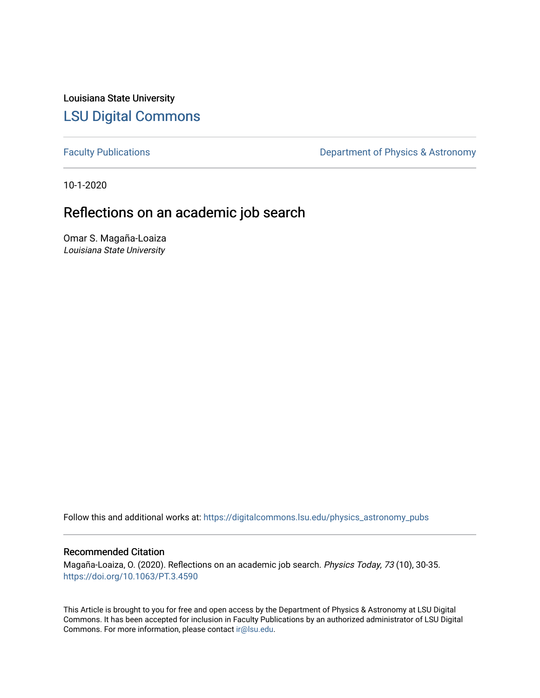Louisiana State University [LSU Digital Commons](https://digitalcommons.lsu.edu/)

[Faculty Publications](https://digitalcommons.lsu.edu/physics_astronomy_pubs) **Exercise 2** Constant Department of Physics & Astronomy

10-1-2020

### Reflections on an academic job search

Omar S. Magaña-Loaiza Louisiana State University

Follow this and additional works at: [https://digitalcommons.lsu.edu/physics\\_astronomy\\_pubs](https://digitalcommons.lsu.edu/physics_astronomy_pubs?utm_source=digitalcommons.lsu.edu%2Fphysics_astronomy_pubs%2F2956&utm_medium=PDF&utm_campaign=PDFCoverPages) 

#### Recommended Citation

Magaña-Loaiza, O. (2020). Reflections on an academic job search. Physics Today, 73 (10), 30-35. <https://doi.org/10.1063/PT.3.4590>

This Article is brought to you for free and open access by the Department of Physics & Astronomy at LSU Digital Commons. It has been accepted for inclusion in Faculty Publications by an authorized administrator of LSU Digital Commons. For more information, please contact [ir@lsu.edu](mailto:ir@lsu.edu).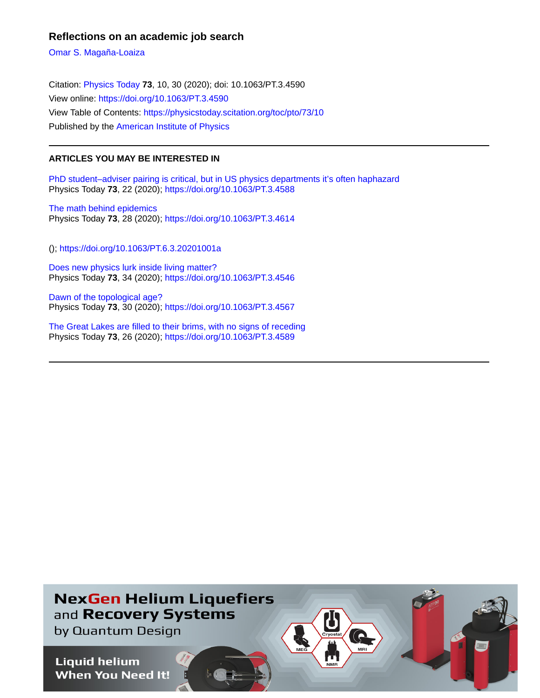#### **Reflections on an academic job search**

[Omar S. Magaña-Loaiza](https://physicstoday.scitation.org/author/Maga%C3%B1a-Loaiza%2C+Omar+S)

Citation: [Physics Today](/loi/pto) **73**, 10, 30 (2020); doi: 10.1063/PT.3.4590 View online: <https://doi.org/10.1063/PT.3.4590> View Table of Contents: <https://physicstoday.scitation.org/toc/pto/73/10> Published by the [American Institute of Physics](https://physicstoday.scitation.org/publisher/)

#### **ARTICLES YOU MAY BE INTERESTED IN**

[PhD student–adviser pairing is critical, but in US physics departments it's often haphazard](https://physicstoday.scitation.org/doi/10.1063/PT.3.4588) Physics Today **73**, 22 (2020);<https://doi.org/10.1063/PT.3.4588>

[The math behind epidemics](https://physicstoday.scitation.org/doi/10.1063/PT.3.4614) Physics Today **73**, 28 (2020);<https://doi.org/10.1063/PT.3.4614>

(); <https://doi.org/10.1063/PT.6.3.20201001a>

[Does new physics lurk inside living matter?](https://physicstoday.scitation.org/doi/10.1063/PT.3.4546) Physics Today **73**, 34 (2020);<https://doi.org/10.1063/PT.3.4546>

[Dawn of the topological age?](https://physicstoday.scitation.org/doi/10.1063/PT.3.4567) Physics Today **73**, 30 (2020);<https://doi.org/10.1063/PT.3.4567>

[The Great Lakes are filled to their brims, with no signs of receding](https://physicstoday.scitation.org/doi/10.1063/PT.3.4589) Physics Today **73**, 26 (2020);<https://doi.org/10.1063/PT.3.4589>

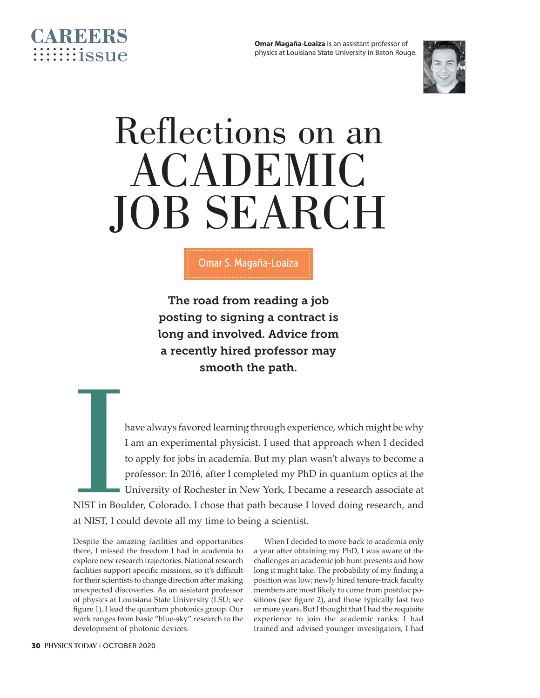

# Reflections on an ACADEMIC JOB SEARCH

The road from reading a job posting to signing a contract is long and involved. Advice from a recently hired professor may smooth the path.

**ICCLUDE:**<br>ICCLUDE:<br>ICCLUDE:<br>ICCLUDE:<br>ICCLUDE:<br>ICCLUDE: have always favored learning through experience, which might be why I am an experimental physicist. I used that approach when I decided to apply for jobs in academia. But my plan wasn't always to become a professor: In 2016, after I completed my PhD in quantum optics at the University of Rochester in New York, I became a research associate at NIST in Boulder, Colorado. I chose that path because I loved doing research, and at NIST, I could devote all my time to being a scientist.

Despite the amazing facilities and opportunities there, I missed the freedom I had in academia to explore new research trajectories. National research facilities support specific missions, so it's difficult for their scientists to change direction after making unexpected discoveries. As an assistant professor of physics at Louisiana State University (LSU; see figure 1), I lead the quantum photonics group. Our work ranges from basic "blue-sky" research to the development of photonic devices.

When I decided to move back to academia only a year after obtaining my PhD, I was aware of the challenges an academic job hunt presents and how long it might take. The probability of my finding a position was low; newly hired tenure-track faculty members are most likely to come from postdoc positions (see figure 2), and those typically last two or more years. But I thought that I had the requisite experience to join the academic ranks: I had trained and advised younger investigators, I had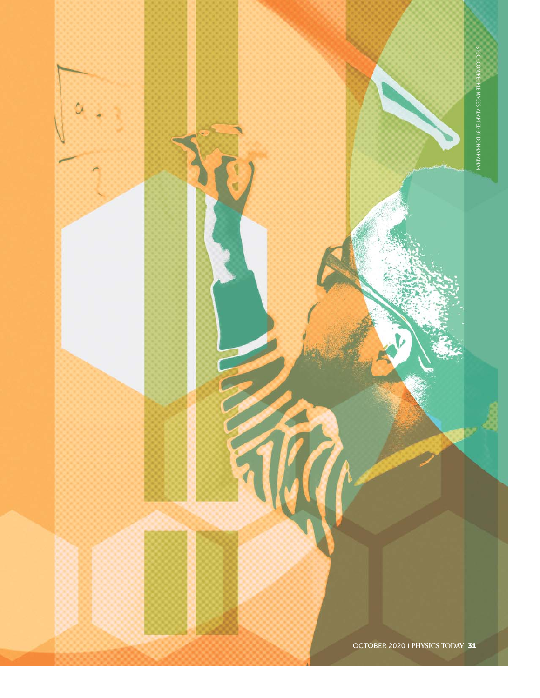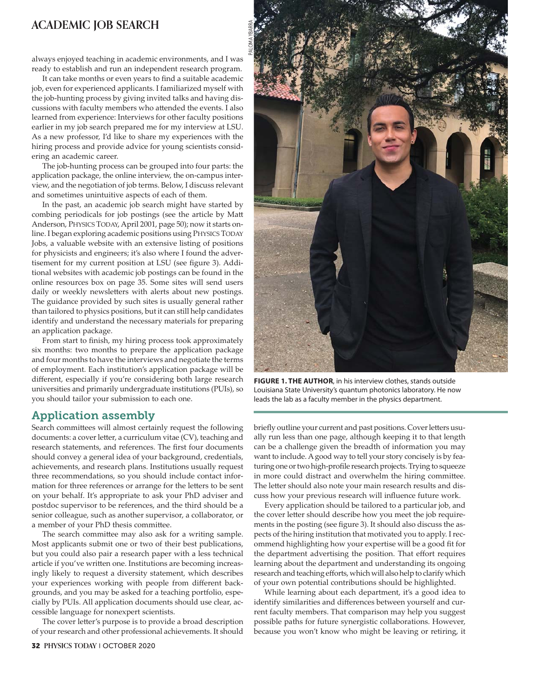#### **ACADEMIC JOB SEARCH**

always enjoyed teaching in academic environments, and I was ready to establish and run an independent research program.

It can take months or even years to find a suitable academic job, even for experienced applicants. I familiarized myself with the job-hunting process by giving invited talks and having discussions with faculty members who attended the events. I also learned from experience: Interviews for other faculty positions earlier in my job search prepared me for my interview at LSU. As a new professor, I'd like to share my experiences with the hiring process and provide advice for young scientists considering an academic career.

The job-hunting process can be grouped into four parts: the application package, the online interview, the on- campus interview, and the negotiation of job terms. Below, I discuss relevant and sometimes unintuitive aspects of each of them.

In the past, an academic job search might have started by combing periodicals for job postings (see the article by Matt Anderson, PHYSICS TODAY, April 2001, page 50); now it starts online. I began exploring academic positions using PHYSICS TODAY Jobs, a valuable website with an extensive listing of positions for physicists and engineers; it's also where I found the advertisement for my current position at LSU (see figure 3). Additional websites with academic job postings can be found in the online resources box on page 35. Some sites will send users daily or weekly newsletters with alerts about new postings. The guidance provided by such sites is usually general rather than tailored to physics positions, but it can still help candidates identify and understand the necessary materials for preparing an application package.

From start to finish, my hiring process took approximately six months: two months to prepare the application package and four months to have the interviews and negotiate the terms of employment. Each institution's application package will be different, especially if you're considering both large research universities and primarily undergraduate institutions (PUIs), so you should tailor your submission to each one.

#### Application assembly

Search committees will almost certainly request the following documents: a cover letter, a curriculum vitae (CV), teaching and research statements, and references. The first four documents should convey a general idea of your background, credentials, achievements, and research plans. Institutions usually request three recommendations, so you should include contact information for three references or arrange for the letters to be sent on your behalf. It's appropriate to ask your PhD adviser and postdoc supervisor to be references, and the third should be a senior colleague, such as another supervisor, a collaborator, or a member of your PhD thesis committee.

The search committee may also ask for a writing sample. Most applicants submit one or two of their best publications, but you could also pair a research paper with a less technical article if you've written one. Institutions are becoming increasingly likely to request a diversity statement, which describes your experiences working with people from different backgrounds, and you may be asked for a teaching portfolio, especially by PUIs. All application documents should use clear, accessible language for nonexpert scientists.

The cover letter's purpose is to provide a broad description of your research and other professional achievements. It should



**FIGURE 1. THE AUTHOR**, in his interview clothes, stands outside Louisiana State University's quantum photonics laboratory. He now leads the lab as a faculty member in the physics department.

briefly outline your current and past positions. Cover letters usually run less than one page, although keeping it to that length can be a challenge given the breadth of information you may want to include. A good way to tell your story concisely is by featuring one or two high-profile research projects. Trying to squeeze in more could distract and overwhelm the hiring committee. The letter should also note your main research results and discuss how your previous research will influence future work.

Every application should be tailored to a particular job, and the cover letter should describe how you meet the job requirements in the posting (see figure 3). It should also discuss the aspects of the hiring institution that motivated you to apply. I recommend highlighting how your expertise will be a good fit for the department advertising the position. That effort requires learning about the department and understanding its ongoing research and teaching efforts, which will also help to clarify which of your own potential contributions should be highlighted.

While learning about each department, it's a good idea to identify similarities and differences between yourself and current faculty members. That comparison may help you suggest possible paths for future synergistic collaborations. However, because you won't know who might be leaving or retiring, it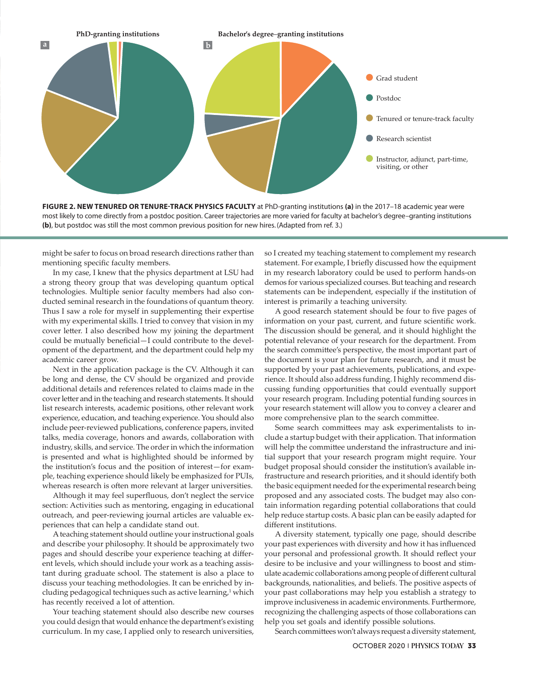

FIGURE 2. NEW TENURED OR TENURE-TRACK PHYSICS FACULTY at PhD-granting institutions (a) in the 2017-18 academic year were most likely to come directly from a postdoc position. Career trajectories are more varied for faculty at bachelor's degree– granting institutions **(b)**, but postdoc was still the most common previous position for new hires. (Adapted from ref. 3.)

might be safer to focus on broad research directions rather than mentioning specific faculty members.

In my case, I knew that the physics department at LSU had a strong theory group that was developing quantum optical technologies. Multiple senior faculty members had also conducted seminal research in the foundations of quantum theory. Thus I saw a role for myself in supplementing their expertise with my experimental skills. I tried to convey that vision in my cover letter. I also described how my joining the department could be mutually beneficial— I could contribute to the development of the department, and the department could help my academic career grow.

Next in the application package is the CV. Although it can be long and dense, the CV should be organized and provide additional details and references related to claims made in the cover letter and in the teaching and research statements. It should list research interests, academic positions, other relevant work experience, education, and teaching experience. You should also include peer-reviewed publications, conference papers, invited talks, media coverage, honors and awards, collaboration with industry, skills, and service. The order in which the information is presented and what is highlighted should be informed by the institution's focus and the position of interest— for example, teaching experience should likely be emphasized for PUIs, whereas research is often more relevant at larger universities.

Although it may feel superfluous, don't neglect the service section: Activities such as mentoring, engaging in educational outreach, and peer- reviewing journal articles are valuable experiences that can help a candidate stand out.

A teaching statement should outline your instructional goals and describe your philosophy. It should be approximately two pages and should describe your experience teaching at different levels, which should include your work as a teaching assistant during graduate school. The statement is also a place to discuss your teaching methodologies. It can be enriched by including pedagogical techniques such as active learning, $1$  which has recently received a lot of attention.

Your teaching statement should also describe new courses you could design that would enhance the department's existing curriculum. In my case, I applied only to research universities,

so I created my teaching statement to complement my research statement. For example, I briefly discussed how the equipment in my research laboratory could be used to perform hands-on demos for various specialized courses. But teaching and research statements can be independent, especially if the institution of interest is primarily a teaching university.

A good research statement should be four to five pages of information on your past, current, and future scientific work. The discussion should be general, and it should highlight the potential relevance of your research for the department. From the search committee's perspective, the most important part of the document is your plan for future research, and it must be supported by your past achievements, publications, and experience. It should also address funding. I highly recommend discussing funding opportunities that could eventually support your research program. Including potential funding sources in your research statement will allow you to convey a clearer and more comprehensive plan to the search committee.

Some search committees may ask experimentalists to include a startup budget with their application. That information will help the committee understand the infrastructure and initial support that your research program might require. Your budget proposal should consider the institution's available infrastructure and research priorities, and it should identify both the basic equipment needed for the experimental research being proposed and any associated costs. The budget may also contain information regarding potential collaborations that could help reduce startup costs. A basic plan can be easily adapted for different institutions.

A diversity statement, typically one page, should describe your past experiences with diversity and how it has influenced your personal and professional growth. It should reflect your desire to be inclusive and your willingness to boost and stimulate academic collaborations among people of different cultural backgrounds, nationalities, and beliefs. The positive aspects of your past collaborations may help you establish a strategy to improve inclusiveness in academic environments. Furthermore, recognizing the challenging aspects of those collaborations can help you set goals and identify possible solutions.

Search committees won't always request a diversity statement,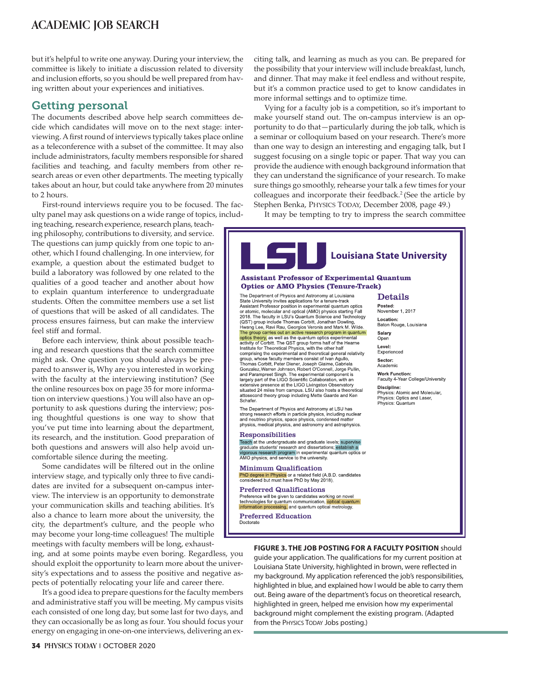#### **ACADEMIC JOB SEARCH**

but it's helpful to write one anyway. During your interview, the committee is likely to initiate a discussion related to diversity and inclusion efforts, so you should be well prepared from having written about your experiences and initiatives.

#### Getting personal

The documents described above help search committees decide which candidates will move on to the next stage: interviewing. A first round of interviews typically takes place online as a teleconference with a subset of the committee. It may also include administrators, faculty members responsible for shared facilities and teaching, and faculty members from other research areas or even other departments. The meeting typically takes about an hour, but could take anywhere from 20 minutes to 2 hours.

First-round interviews require you to be focused. The faculty panel may ask questions on a wide range of topics, includ-

ing teaching, research experience, research plans, teaching philosophy, contributions to diversity, and service. The questions can jump quickly from one topic to another, which I found challenging. In one interview, for example, a question about the estimated budget to build a laboratory was followed by one related to the qualities of a good teacher and another about how to explain quantum interference to undergraduate students. Often the committee members use a set list of questions that will be asked of all candidates. The process ensures fairness, but can make the interview feel stiff and formal.

Before each interview, think about possible teaching and research questions that the search committee might ask. One question you should always be prepared to answer is, Why are you interested in working with the faculty at the interviewing institution? (See the online resources box on page 35 for more information on interview questions.) You will also have an opportunity to ask questions during the interview; posing thoughtful questions is one way to show that you've put time into learning about the department, its research, and the institution. Good preparation of both questions and answers will also help avoid uncomfortable silence during the meeting.

Some candidates will be filtered out in the online interview stage, and typically only three to five candidates are invited for a subsequent on-campus interview. The interview is an opportunity to demonstrate your communication skills and teaching abilities. It's also a chance to learn more about the university, the city, the department's culture, and the people who may become your long-time colleagues! The multiple meetings with faculty members will be long, exhaust-

ing, and at some points maybe even boring. Regardless, you should exploit the opportunity to learn more about the university's expectations and to assess the positive and negative aspects of potentially relocating your life and career there.

It's a good idea to prepare questions for the faculty members and administrative staff you will be meeting. My campus visits each consisted of one long day, but some last for two days, and they can occasionally be as long as four. You should focus your energy on engaging in one-on-one interviews, delivering an exciting talk, and learning as much as you can. Be prepared for the possibility that your interview will include breakfast, lunch, and dinner. That may make it feel endless and without respite, but it's a common practice used to get to know candidates in more informal settings and to optimize time.

Vying for a faculty job is a competition, so it's important to make yourself stand out. The on-campus interview is an opportunity to do that— particularly during the job talk, which is a seminar or colloquium based on your research. There's more than one way to design an interesting and engaging talk, but I suggest focusing on a single topic or paper. That way you can provide the audience with enough background information that they can understand the significance of your research. To make sure things go smoothly, rehearse your talk a few times for your colleagues and incorporate their feedback.<sup>2</sup> (See the article by Stephen Benka, PHYSICS TODAY, December 2008, page 49.)

It may be tempting to try to impress the search committee

#### **Louisiana State University Assistant Professor of Experimental Quantum Optics or AMO Physics (Tenure-Track)** The Department of Physics and Astronomy at Louisiana Details State University invites applications for a tenure-track Statistical Professor position in experimental quantum optics<br>or atomic, molecular and optical (AMO) physics starting Fall<br>2018. The faculty in LSU's Quantum Science and Technology Posted: November 1 2017 Location: (QST) group include Thomas Corbitt, Jonathan Dowling (use) I group include informate borrit, omatian Dowing,<br>The group carries out an activity of Christian Christian Christian Christian Christian Christian Christian Christian Christian Christian Christian Christian Christian Baton Rouge, Louisiana Salary Open Level: Experienced Sector: Thomas Corbitt. Peter Diener. Joseph Giaime. Gabriela Academic From as Count, I et Dienen, Joseph Channe, Cauriera<br>
and Parampreet Singh. The experimental component is<br>
largely part of the LIGO Scientific Collaboration, with an **Work Eunction:** Faculty 4-Year College/University extensive presence at the LIGO Livingston Observatory Discipline: situated 24 miles from campus. LSU also hosts a theor .<br>retical Physics: Atomic and Molecular,<br>Physics: Optics and Laser, attosecond theory group including Mette Gaarde and Ken Schafer. Physics: Quantum The Department of Physics and Astronomy at LSU has strong research efforts in particle physics, including nuclear and neutrino physics, space physics, condensed matter physics, medical physics, and astronomy and astrophysics. Responsibilities Teach at the undergraduate and graduate levels; supervise graduate students' research and dissertations; establish a<br>vigorous research program in experimental quantum optics or AMO physics; and service to the university. **Minimum Qualification**<br> **PhD degree in Physics** or a related field (A.B.D. candidates considered but must have PhD by May 2018). Preferred Qualifications Preference will be given to candidates working on novel technologies for quantum communication, optical quantinformation processing, and quantum optical metrology. l quantum Preferred Education Doctorate **FIGURE 3. THE JOB POSTING FOR A FACULTY POSITION** should

guide your application. The qualifications for my current position at Louisiana State University, highlighted in brown, were reflected in my background. My application referenced the job's responsibilities, highlighted in blue, and explained how I would be able to carry them out. Being aware of the department's focus on theoretical research, highlighted in green, helped me envision how my experimental background might complement the existing program. (Adapted from the PHYSICS TODAY Jobs posting.)